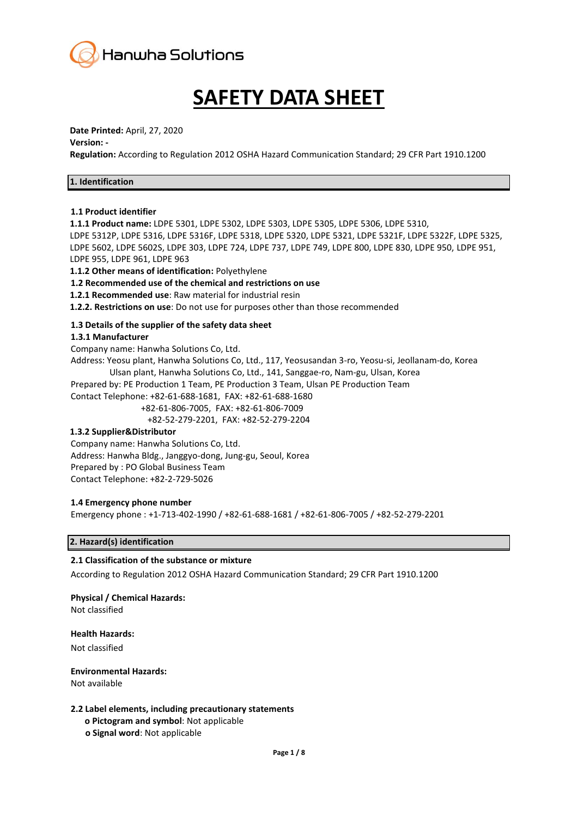

# **SAFETY DATA SHEET**

#### **Date Printed:** April, 27, 2020

#### **Version: -**

**Regulation:** According to Regulation 2012 OSHA Hazard Communication Standard; 29 CFR Part 1910.1200

| 1. Identification |  |
|-------------------|--|
|-------------------|--|

#### **1.1 Product identifier**

**1.1.1 Product name:** LDPE 5301, LDPE 5302, LDPE 5303, LDPE 5305, LDPE 5306, LDPE 5310, LDPE 5312P, LDPE 5316, LDPE 5316F, LDPE 5318, LDPE 5320, LDPE 5321, LDPE 5321F, LDPE 5322F, LDPE 5325, LDPE 5602, LDPE 5602S, LDPE 303, LDPE 724, LDPE 737, LDPE 749, LDPE 800, LDPE 830, LDPE 950, LDPE 951, LDPE 955, LDPE 961, LDPE 963

**1.1.2 Other means of identification:** Polyethylene

#### **1.2 Recommended use of the chemical and restrictions on use**

**1.2.1 Recommended use**: Raw material for industrial resin

**1.2.2. Restrictions on use**: Do not use for purposes other than those recommended

## **1.3 Details of the supplier of the safety data sheet**

#### **1.3.1 Manufacturer**

Company name: Hanwha Solutions Co, Ltd.

Address: Yeosu plant, Hanwha Solutions Co, Ltd., 117, Yeosusandan 3-ro, Yeosu-si, Jeollanam-do, Korea Ulsan plant, Hanwha Solutions Co, Ltd., 141, Sanggae-ro, Nam-gu, Ulsan, Korea

Prepared by: PE Production 1 Team, PE Production 3 Team, Ulsan PE Production Team

Contact Telephone: +82-61-688-1681, FAX: +82-61-688-1680

+82-61-806-7005, FAX: +82-61-806-7009

+82-52-279-2201, FAX: +82-52-279-2204

#### **1.3.2 Supplier&Distributor**

Company name: Hanwha Solutions Co, Ltd. Address: Hanwha Bldg., Janggyo-dong, Jung-gu, Seoul, Korea Prepared by : PO Global Business Team Contact Telephone: +82-2-729-5026

## **1.4 Emergency phone number**

Emergency phone : +1-713-402-1990 / +82-61-688-1681 / +82-61-806-7005 / +82-52-279-2201

## **2. Hazard(s) identification**

## **2.1 Classification of the substance or mixture**

According to Regulation 2012 OSHA Hazard Communication Standard; 29 CFR Part 1910.1200

## **Physical / Chemical Hazards:**

Not classified

#### **Health Hazards:**

Not classified

## **Environmental Hazards:**

Not available

## **2.2 Label elements, including precautionary statements**

- **ο Pictogram and symbol**: Not applicable
- **ο Signal word**: Not applicable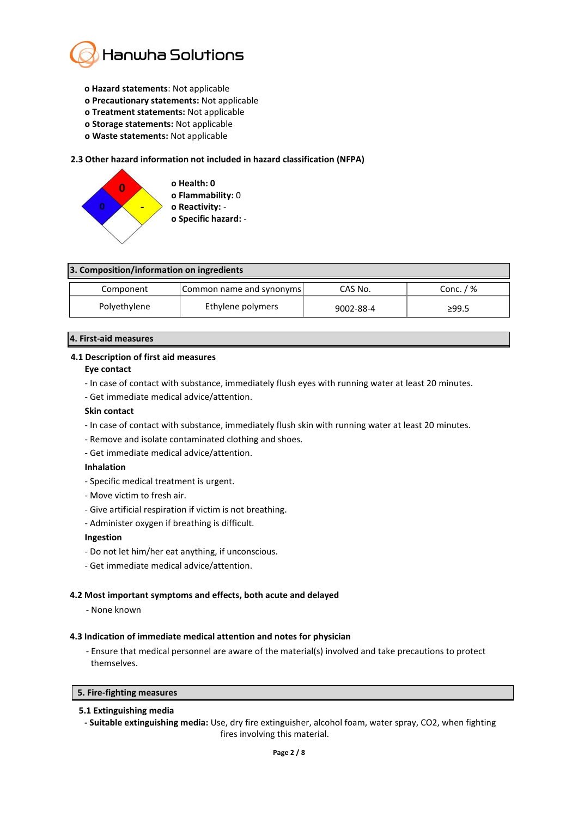

- **ο Hazard statements**: Not applicable
- **ο Precautionary statements:** Not applicable
- **ο Treatment statements:** Not applicable
- **ο Storage statements:** Not applicable
- **ο Waste statements:** Not applicable

#### **2.3 Other hazard information not included in hazard classification (NFPA)**



| 3. Composition/information on ingredients |                          |           |             |
|-------------------------------------------|--------------------------|-----------|-------------|
| Component                                 | Common name and synonyms | CAS No.   | Conc. $/$ % |
| Polyethylene                              | Ethylene polymers        | 9002-88-4 | ≥99.5       |

## **4. First-aid measures**

## **4.1 Description of first aid measures**

#### **Eye contact**

- In case of contact with substance, immediately flush eyes with running water at least 20 minutes.
- Get immediate medical advice/attention.

#### **Skin contact**

- In case of contact with substance, immediately flush skin with running water at least 20 minutes.
- Remove and isolate contaminated clothing and shoes.
- Get immediate medical advice/attention.

#### **Inhalation**

- Specific medical treatment is urgent.
- Move victim to fresh air.
- Give artificial respiration if victim is not breathing.
- Administer oxygen if breathing is difficult.

#### **Ingestion**

- Do not let him/her eat anything, if unconscious.
- Get immediate medical advice/attention.

#### **4.2 Most important symptoms and effects, both acute and delayed**

- None known

#### **4.3 Indication of immediate medical attention and notes for physician**

- Ensure that medical personnel are aware of the material(s) involved and take precautions to protect themselves.

#### **5. Fire-fighting measures**

#### **5.1 Extinguishing media**

**- Suitable extinguishing media:** Use, dry fire extinguisher, alcohol foam, water spray, CO2, when fighting fires involving this material.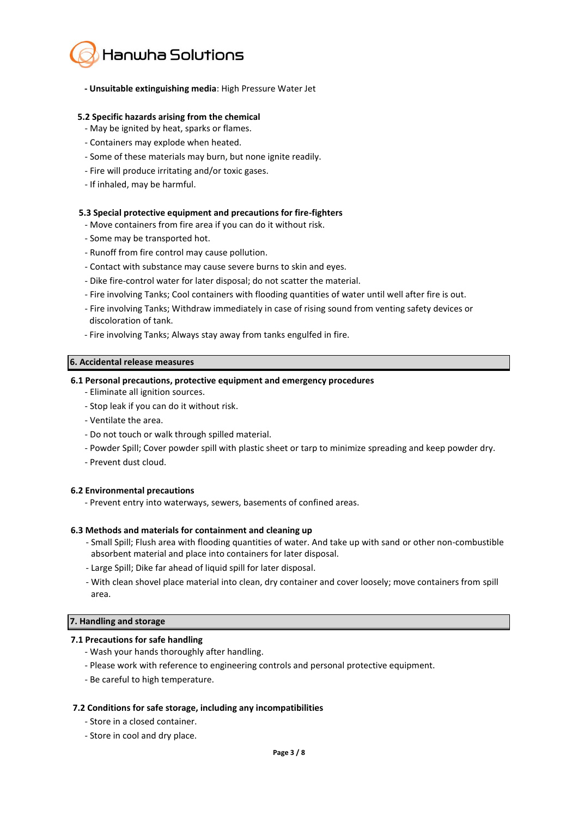

#### **- Unsuitable extinguishing media**: High Pressure Water Jet

#### **5.2 Specific hazards arising from the chemical**

- May be ignited by heat, sparks or flames.
- Containers may explode when heated.
- Some of these materials may burn, but none ignite readily.
- Fire will produce irritating and/or toxic gases.
- If inhaled, may be harmful.

#### **5.3 Special protective equipment and precautions for fire-fighters**

- Move containers from fire area if you can do it without risk.
- Some may be transported hot.
- Runoff from fire control may cause pollution.
- Contact with substance may cause severe burns to skin and eyes.
- Dike fire-control water for later disposal; do not scatter the material.
- Fire involving Tanks; Cool containers with flooding quantities of water until well after fire is out.
- Fire involving Tanks; Withdraw immediately in case of rising sound from venting safety devices or discoloration of tank.
- Fire involving Tanks; Always stay away from tanks engulfed in fire.

#### **6. Accidental release measures**

#### **6.1 Personal precautions, protective equipment and emergency procedures**

- Eliminate all ignition sources.
- Stop leak if you can do it without risk.
- Ventilate the area.
- Do not touch or walk through spilled material.
- Powder Spill; Cover powder spill with plastic sheet or tarp to minimize spreading and keep powder dry.
- Prevent dust cloud.

#### **6.2 Environmental precautions**

- Prevent entry into waterways, sewers, basements of confined areas.

#### **6.3 Methods and materials for containment and cleaning up**

- Small Spill; Flush area with flooding quantities of water. And take up with sand or other non-combustible absorbent material and place into containers for later disposal.
- Large Spill; Dike far ahead of liquid spill for later disposal.
- With clean shovel place material into clean, dry container and cover loosely; move containers from spill area.

#### **7. Handling and storage**

#### **7.1 Precautions for safe handling**

- Wash your hands thoroughly after handling.
- Please work with reference to engineering controls and personal protective equipment.
- Be careful to high temperature.

#### **7.2 Conditions for safe storage, including any incompatibilities**

- Store in a closed container.
- Store in cool and dry place.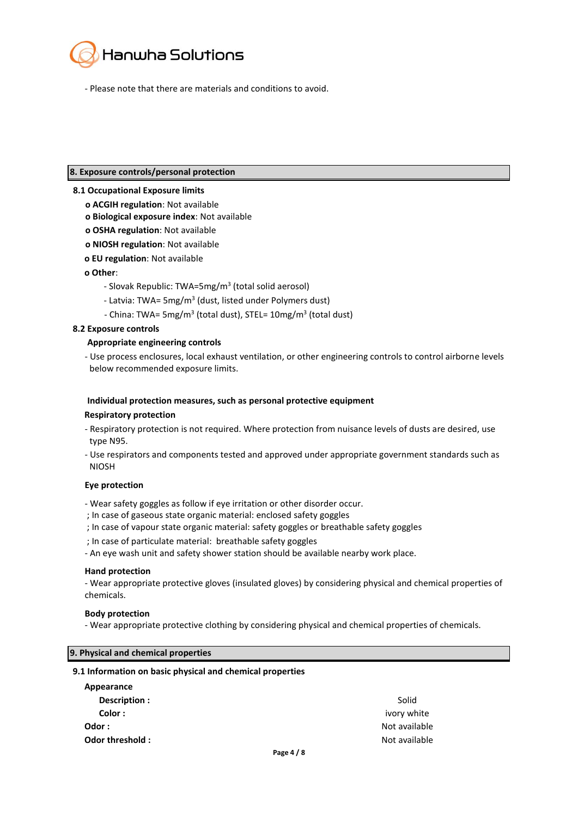

- Please note that there are materials and conditions to avoid.

#### **8. Exposure controls/personal protection**

#### **8.1 Occupational Exposure limits**

- **ο ACGIH regulation**: Not available
- **ο Biological exposure index**: Not available
- **ο OSHA regulation**: Not available
- **ο NIOSH regulation**: Not available
- **ο EU regulation**: Not available

#### **ο Other**:

- Slovak Republic: TWA=5mg/m<sup>3</sup> (total solid aerosol)
- Latvia: TWA= 5mg/m<sup>3</sup> (dust, listed under Polymers dust)
- China: TWA= 5mg/m<sup>3</sup> (total dust), STEL= 10mg/m<sup>3</sup> (total dust)

#### **8.2 Exposure controls**

#### **Appropriate engineering controls**

- Use process enclosures, local exhaust ventilation, or other engineering controls to control airborne levels below recommended exposure limits.

#### **Individual protection measures, such as personal protective equipment**

#### **Respiratory protection**

- Respiratory protection is not required. Where protection from nuisance levels of dusts are desired, use type N95.
- Use respirators and components tested and approved under appropriate government standards such as NIOSH

#### **Eye protection**

- Wear safety goggles as follow if eye irritation or other disorder occur.
- ; In case of gaseous state organic material: enclosed safety goggles
- ; In case of vapour state organic material: safety goggles or breathable safety goggles
- ; In case of particulate material: breathable safety goggles
- An eye wash unit and safety shower station should be available nearby work place.

#### **Hand protection**

- Wear appropriate protective gloves (insulated gloves) by considering physical and chemical properties of chemicals.

#### **Body protection**

- Wear appropriate protective clothing by considering physical and chemical properties of chemicals.

#### **9. Physical and chemical properties**

#### **9.1 Information on basic physical and chemical properties**

| Appearance      |               |
|-----------------|---------------|
| Description :   | Solid         |
| Color:          | ivory white   |
| Odor :          | Not available |
| Odor threshold: | Not available |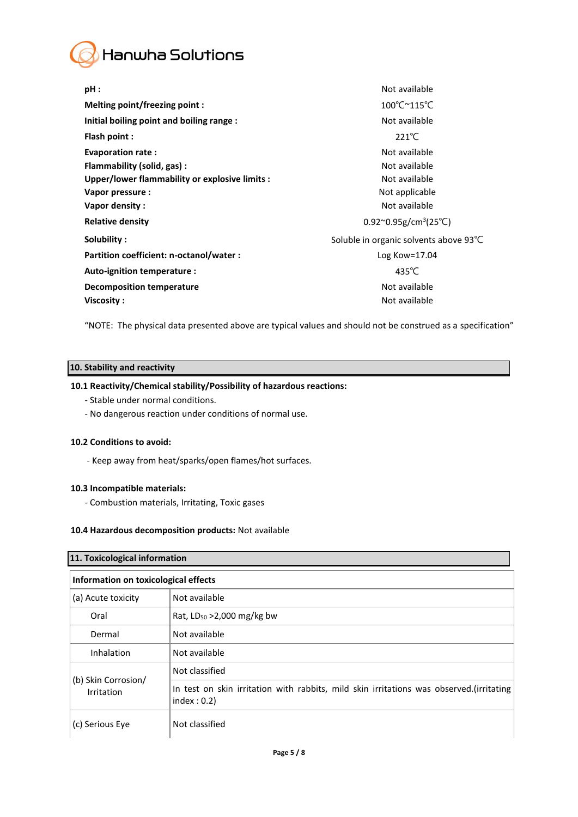

| $pH$ :                                         | Not available                                            |
|------------------------------------------------|----------------------------------------------------------|
| Melting point/freezing point:                  | 100°C~115°C                                              |
| Initial boiling point and boiling range :      | Not available                                            |
| Flash point :                                  | $221^{\circ}$ C                                          |
| Evaporation rate:                              | Not available                                            |
| Flammability (solid, gas):                     | Not available                                            |
| Upper/lower flammability or explosive limits : | Not available                                            |
| Vapor pressure :                               | Not applicable                                           |
| Vapor density:                                 | Not available                                            |
| <b>Relative density</b>                        | $0.92^{\circ}0.95$ g/cm <sup>3</sup> (25 <sup>°</sup> C) |
| Solubility:                                    | Soluble in organic solvents above 93°C                   |
| Partition coefficient: n-octanol/water :       | Log Kow= $17.04$                                         |
| Auto-ignition temperature :                    | 435 $°C$                                                 |
| <b>Decomposition temperature</b>               | Not available                                            |
| Viscosity:                                     | Not available                                            |

"NOTE: The physical data presented above are typical values and should not be construed as a specification"

## **10. Stability and reactivity**

## **10.1 Reactivity/Chemical stability/Possibility of hazardous reactions:**

- Stable under normal conditions.
- No dangerous reaction under conditions of normal use.

## **10.2 Conditions to avoid:**

- Keep away from heat/sparks/open flames/hot surfaces.

## **10.3 Incompatible materials:**

- Combustion materials, Irritating, Toxic gases

#### **10.4 Hazardous decomposition products:** Not available

| 11. Toxicological information        |                                                                                                        |  |
|--------------------------------------|--------------------------------------------------------------------------------------------------------|--|
| Information on toxicological effects |                                                                                                        |  |
| (a) Acute toxicity                   | Not available                                                                                          |  |
| Oral                                 | Rat, $LD_{50} > 2,000$ mg/kg bw                                                                        |  |
| Dermal                               | Not available                                                                                          |  |
| Inhalation                           | Not available                                                                                          |  |
|                                      | Not classified                                                                                         |  |
| (b) Skin Corrosion/<br>Irritation    | In test on skin irritation with rabbits, mild skin irritations was observed.(irritating<br>index: 0.2) |  |
| (c) Serious Eye                      | Not classified                                                                                         |  |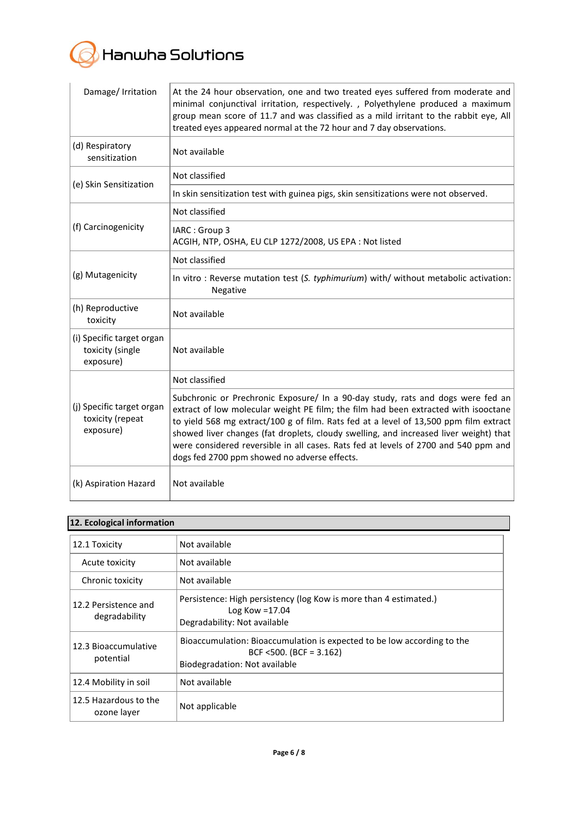

| Damage/ Irritation                                         | At the 24 hour observation, one and two treated eyes suffered from moderate and<br>minimal conjunctival irritation, respectively., Polyethylene produced a maximum<br>group mean score of 11.7 and was classified as a mild irritant to the rabbit eye, All<br>treated eyes appeared normal at the 72 hour and 7 day observations.                                                                                                                                                              |
|------------------------------------------------------------|-------------------------------------------------------------------------------------------------------------------------------------------------------------------------------------------------------------------------------------------------------------------------------------------------------------------------------------------------------------------------------------------------------------------------------------------------------------------------------------------------|
| (d) Respiratory<br>sensitization                           | Not available                                                                                                                                                                                                                                                                                                                                                                                                                                                                                   |
| (e) Skin Sensitization                                     | Not classified                                                                                                                                                                                                                                                                                                                                                                                                                                                                                  |
|                                                            | In skin sensitization test with guinea pigs, skin sensitizations were not observed.                                                                                                                                                                                                                                                                                                                                                                                                             |
|                                                            | Not classified                                                                                                                                                                                                                                                                                                                                                                                                                                                                                  |
| (f) Carcinogenicity                                        | IARC: Group 3<br>ACGIH, NTP, OSHA, EU CLP 1272/2008, US EPA : Not listed                                                                                                                                                                                                                                                                                                                                                                                                                        |
|                                                            | Not classified                                                                                                                                                                                                                                                                                                                                                                                                                                                                                  |
| (g) Mutagenicity                                           | In vitro: Reverse mutation test (S. typhimurium) with/ without metabolic activation:<br>Negative                                                                                                                                                                                                                                                                                                                                                                                                |
| (h) Reproductive<br>toxicity                               | Not available                                                                                                                                                                                                                                                                                                                                                                                                                                                                                   |
| (i) Specific target organ<br>toxicity (single<br>exposure) | Not available                                                                                                                                                                                                                                                                                                                                                                                                                                                                                   |
|                                                            | Not classified                                                                                                                                                                                                                                                                                                                                                                                                                                                                                  |
| (j) Specific target organ<br>toxicity (repeat<br>exposure) | Subchronic or Prechronic Exposure/ In a 90-day study, rats and dogs were fed an<br>extract of low molecular weight PE film; the film had been extracted with isooctane<br>to yield 568 mg extract/100 g of film. Rats fed at a level of 13,500 ppm film extract<br>showed liver changes (fat droplets, cloudy swelling, and increased liver weight) that<br>were considered reversible in all cases. Rats fed at levels of 2700 and 540 ppm and<br>dogs fed 2700 ppm showed no adverse effects. |
| (k) Aspiration Hazard                                      | Not available                                                                                                                                                                                                                                                                                                                                                                                                                                                                                   |

## **12. Ecological information**

| 12.1 Toxicity                         | Not available                                                                                                                          |
|---------------------------------------|----------------------------------------------------------------------------------------------------------------------------------------|
| Acute toxicity                        | Not available                                                                                                                          |
| Chronic toxicity                      | Not available                                                                                                                          |
| 12.2 Persistence and<br>degradability | Persistence: High persistency (log Kow is more than 4 estimated.)<br>Log Kow $=17.04$<br>Degradability: Not available                  |
| 12.3 Bioaccumulative<br>potential     | Bioaccumulation: Bioaccumulation is expected to be low according to the<br>BCF <500. (BCF = $3.162$ )<br>Biodegradation: Not available |
| 12.4 Mobility in soil                 | Not available                                                                                                                          |
| 12.5 Hazardous to the<br>ozone layer  | Not applicable                                                                                                                         |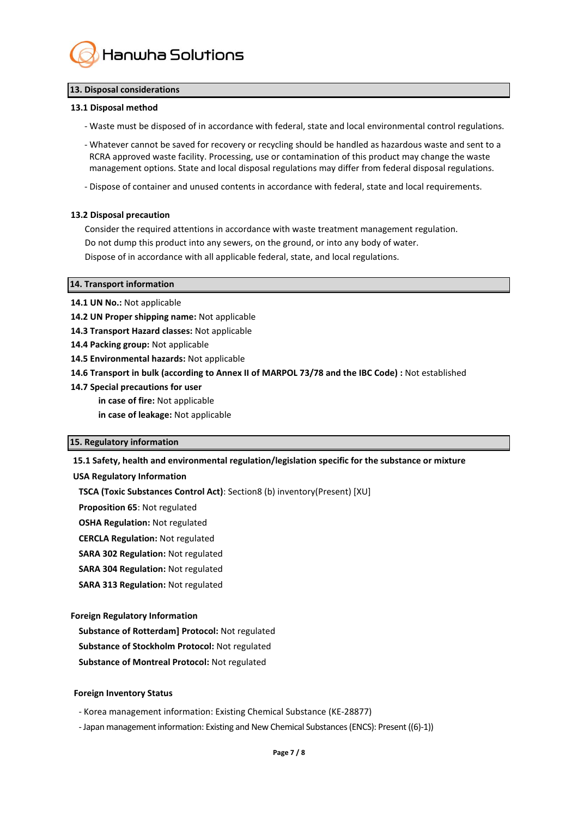

#### **13. Disposal considerations**

#### **13.1 Disposal method**

- Waste must be disposed of in accordance with federal, state and local environmental control regulations.

- Whatever cannot be saved for recovery or recycling should be handled as hazardous waste and sent to a RCRA approved waste facility. Processing, use or contamination of this product may change the waste management options. State and local disposal regulations may differ from federal disposal regulations.

- Dispose of container and unused contents in accordance with federal, state and local requirements.

#### **13.2 Disposal precaution**

Consider the required attentions in accordance with waste treatment management regulation. Do not dump this product into any sewers, on the ground, or into any body of water. Dispose of in accordance with all applicable federal, state, and local regulations.

#### **14. Transport information**

- 14.1 UN No.: Not applicable
- **14.2 UN Proper shipping name:** Not applicable
- **14.3 Transport Hazard classes:** Not applicable
- **14.4 Packing group:** Not applicable
- **14.5 Environmental hazards:** Not applicable
- **14.6 Transport in bulk (according to Annex II of MARPOL 73/78 and the IBC Code) :** Not established
- **14.7 Special precautions for user**
	- **in case of fire:** Not applicable
	- **in case of leakage:** Not applicable

#### **15. Regulatory information**

## **15.1 Safety, health and environmental regulation/legislation specific for the substance or mixture**

#### **USA Regulatory Information**

**TSCA (Toxic Substances Control Act)**: Section8 (b) inventory(Present) [XU]

**Proposition 65**: Not regulated

**OSHA Regulation:** Not regulated

**CERCLA Regulation:** Not regulated

- **SARA 302 Regulation:** Not regulated
- **SARA 304 Regulation:** Not regulated
- **SARA 313 Regulation:** Not regulated

#### **Foreign Regulatory Information**

**Substance of Rotterdam] Protocol:** Not regulated

- **Substance of Stockholm Protocol:** Not regulated
- **Substance of Montreal Protocol:** Not regulated

## **Foreign Inventory Status**

- Korea management information: Existing Chemical Substance (KE-28877)

- Japan management information: Existing and New Chemical Substances (ENCS): Present ((6)-1))